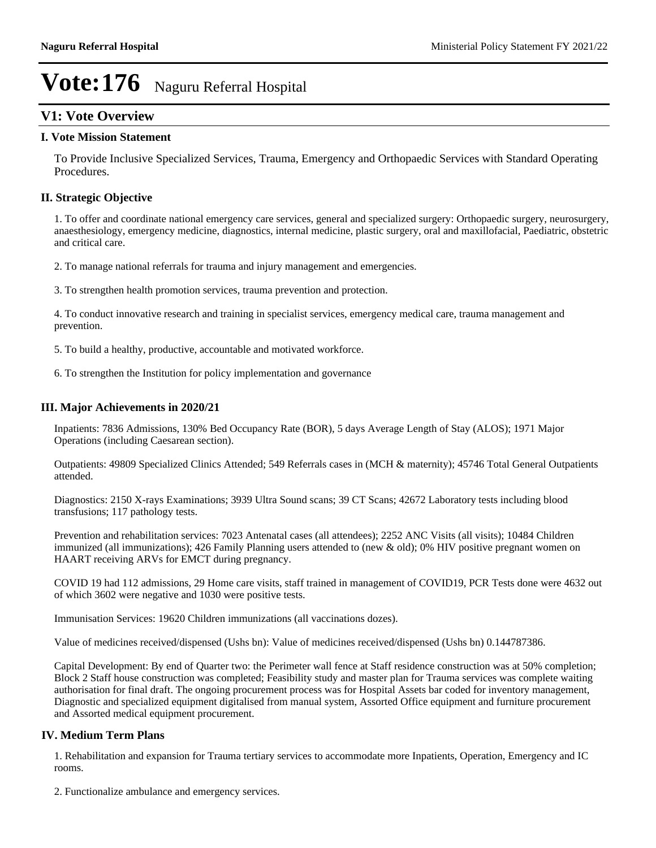## **V1: Vote Overview**

#### **I. Vote Mission Statement**

To Provide Inclusive Specialized Services, Trauma, Emergency and Orthopaedic Services with Standard Operating Procedures.

#### **II. Strategic Objective**

1. To offer and coordinate national emergency care services, general and specialized surgery: Orthopaedic surgery, neurosurgery, anaesthesiology, emergency medicine, diagnostics, internal medicine, plastic surgery, oral and maxillofacial, Paediatric, obstetric and critical care.

2. To manage national referrals for trauma and injury management and emergencies.

3. To strengthen health promotion services, trauma prevention and protection.

4. To conduct innovative research and training in specialist services, emergency medical care, trauma management and prevention.

5. To build a healthy, productive, accountable and motivated workforce.

6. To strengthen the Institution for policy implementation and governance

#### **III. Major Achievements in 2020/21**

Inpatients: 7836 Admissions, 130% Bed Occupancy Rate (BOR), 5 days Average Length of Stay (ALOS); 1971 Major Operations (including Caesarean section).

Outpatients: 49809 Specialized Clinics Attended; 549 Referrals cases in (MCH & maternity); 45746 Total General Outpatients attended.

Diagnostics: 2150 X-rays Examinations; 3939 Ultra Sound scans; 39 CT Scans; 42672 Laboratory tests including blood transfusions; 117 pathology tests.

Prevention and rehabilitation services: 7023 Antenatal cases (all attendees); 2252 ANC Visits (all visits); 10484 Children immunized (all immunizations); 426 Family Planning users attended to (new & old); 0% HIV positive pregnant women on HAART receiving ARVs for EMCT during pregnancy.

COVID 19 had 112 admissions, 29 Home care visits, staff trained in management of COVID19, PCR Tests done were 4632 out of which 3602 were negative and 1030 were positive tests.

Immunisation Services: 19620 Children immunizations (all vaccinations dozes).

Value of medicines received/dispensed (Ushs bn): Value of medicines received/dispensed (Ushs bn) 0.144787386.

Capital Development: By end of Quarter two: the Perimeter wall fence at Staff residence construction was at 50% completion; Block 2 Staff house construction was completed; Feasibility study and master plan for Trauma services was complete waiting authorisation for final draft. The ongoing procurement process was for Hospital Assets bar coded for inventory management, Diagnostic and specialized equipment digitalised from manual system, Assorted Office equipment and furniture procurement and Assorted medical equipment procurement.

#### **IV. Medium Term Plans**

1. Rehabilitation and expansion for Trauma tertiary services to accommodate more Inpatients, Operation, Emergency and IC rooms.

2. Functionalize ambulance and emergency services.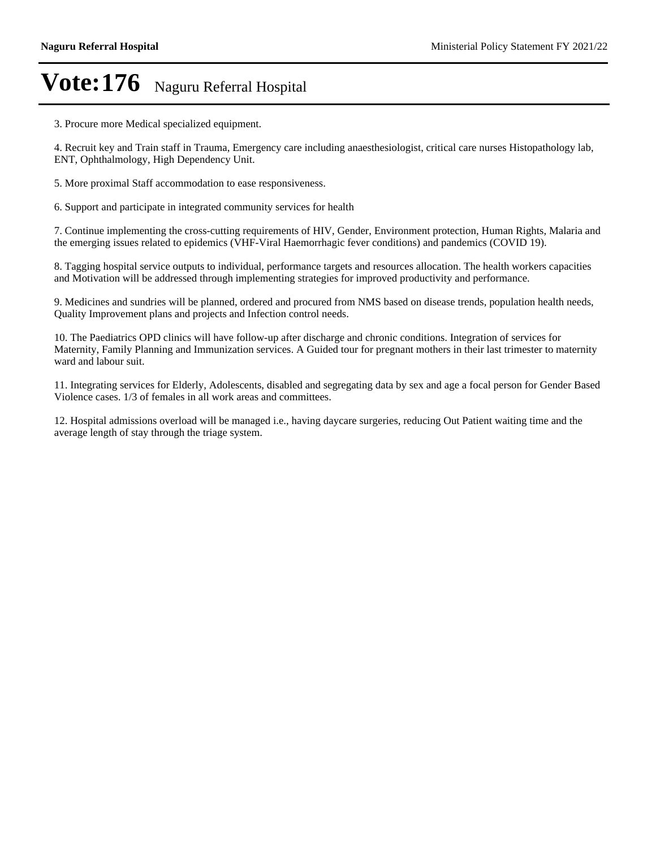3. Procure more Medical specialized equipment.

4. Recruit key and Train staff in Trauma, Emergency care including anaesthesiologist, critical care nurses Histopathology lab, ENT, Ophthalmology, High Dependency Unit.

5. More proximal Staff accommodation to ease responsiveness.

6. Support and participate in integrated community services for health

7. Continue implementing the cross-cutting requirements of HIV, Gender, Environment protection, Human Rights, Malaria and the emerging issues related to epidemics (VHF-Viral Haemorrhagic fever conditions) and pandemics (COVID 19).

8. Tagging hospital service outputs to individual, performance targets and resources allocation. The health workers capacities and Motivation will be addressed through implementing strategies for improved productivity and performance.

9. Medicines and sundries will be planned, ordered and procured from NMS based on disease trends, population health needs, Quality Improvement plans and projects and Infection control needs.

10. The Paediatrics OPD clinics will have follow-up after discharge and chronic conditions. Integration of services for Maternity, Family Planning and Immunization services. A Guided tour for pregnant mothers in their last trimester to maternity ward and labour suit.

11. Integrating services for Elderly, Adolescents, disabled and segregating data by sex and age a focal person for Gender Based Violence cases. 1/3 of females in all work areas and committees.

12. Hospital admissions overload will be managed i.e., having daycare surgeries, reducing Out Patient waiting time and the average length of stay through the triage system.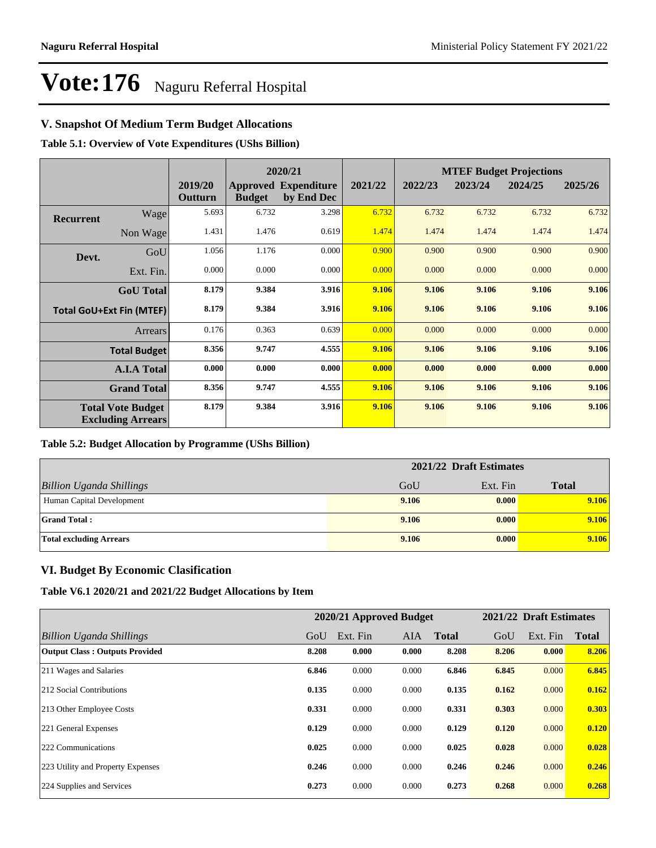### **V. Snapshot Of Medium Term Budget Allocations**

**Table 5.1: Overview of Vote Expenditures (UShs Billion)**

| 2020/21          |                                                      |                    |               |                                           |         | <b>MTEF Budget Projections</b> |         |         |         |
|------------------|------------------------------------------------------|--------------------|---------------|-------------------------------------------|---------|--------------------------------|---------|---------|---------|
|                  |                                                      | 2019/20<br>Outturn | <b>Budget</b> | <b>Approved Expenditure</b><br>by End Dec | 2021/22 | 2022/23                        | 2023/24 | 2024/25 | 2025/26 |
| <b>Recurrent</b> | Wage                                                 | 5.693              | 6.732         | 3.298                                     | 6.732   | 6.732                          | 6.732   | 6.732   | 6.732   |
|                  | Non Wage                                             | 1.431              | 1.476         | 0.619                                     | 1.474   | 1.474                          | 1.474   | 1.474   | 1.474   |
| Devt.            | GoU                                                  | 1.056              | 1.176         | 0.000                                     | 0.900   | 0.900                          | 0.900   | 0.900   | 0.900   |
|                  | Ext. Fin.                                            | 0.000              | 0.000         | 0.000                                     | 0.000   | 0.000                          | 0.000   | 0.000   | 0.000   |
|                  | <b>GoU</b> Total                                     | 8.179              | 9.384         | 3.916                                     | 9.106   | 9.106                          | 9.106   | 9.106   | 9.106   |
|                  | <b>Total GoU+Ext Fin (MTEF)</b>                      | 8.179              | 9.384         | 3.916                                     | 9.106   | 9.106                          | 9.106   | 9.106   | 9.106   |
|                  | <b>Arrears</b>                                       | 0.176              | 0.363         | 0.639                                     | 0.000   | 0.000                          | 0.000   | 0.000   | 0.000   |
|                  | <b>Total Budget</b>                                  | 8.356              | 9.747         | 4.555                                     | 9.106   | 9.106                          | 9.106   | 9.106   | 9.106   |
|                  | <b>A.I.A Total</b>                                   | 0.000              | 0.000         | 0.000                                     | 0.000   | 0.000                          | 0.000   | 0.000   | 0.000   |
|                  | <b>Grand Total</b>                                   | 8.356              | 9.747         | 4.555                                     | 9.106   | 9.106                          | 9.106   | 9.106   | 9.106   |
|                  | <b>Total Vote Budget</b><br><b>Excluding Arrears</b> | 8.179              | 9.384         | 3.916                                     | 9.106   | 9.106                          | 9.106   | 9.106   | 9.106   |

#### **Table 5.2: Budget Allocation by Programme (UShs Billion)**

|                                 | 2021/22 Draft Estimates |          |              |
|---------------------------------|-------------------------|----------|--------------|
| <b>Billion Uganda Shillings</b> | GoU                     | Ext. Fin | <b>Total</b> |
| Human Capital Development       | 9.106                   | 0.000    | 9.106        |
| <b>Grand Total:</b>             | 9.106                   | 0.000    | 9.106        |
| <b>Total excluding Arrears</b>  | 9.106                   | 0.000    | 9.106        |

#### **VI. Budget By Economic Clasification**

**Table V6.1 2020/21 and 2021/22 Budget Allocations by Item**

|                                       |       | 2020/21 Approved Budget |       |              |       | 2021/22 Draft Estimates |              |
|---------------------------------------|-------|-------------------------|-------|--------------|-------|-------------------------|--------------|
| Billion Uganda Shillings              | GoU   | Ext. Fin                | AIA   | <b>Total</b> | GoU   | Ext. Fin                | <b>Total</b> |
| <b>Output Class: Outputs Provided</b> | 8.208 | 0.000                   | 0.000 | 8.208        | 8.206 | 0.000                   | 8.206        |
| 211 Wages and Salaries                | 6.846 | 0.000                   | 0.000 | 6.846        | 6.845 | 0.000                   | 6.845        |
| 212 Social Contributions              | 0.135 | 0.000                   | 0.000 | 0.135        | 0.162 | 0.000                   | 0.162        |
| 213 Other Employee Costs              | 0.331 | 0.000                   | 0.000 | 0.331        | 0.303 | 0.000                   | 0.303        |
| 221 General Expenses                  | 0.129 | 0.000                   | 0.000 | 0.129        | 0.120 | 0.000                   | 0.120        |
| 222 Communications                    | 0.025 | 0.000                   | 0.000 | 0.025        | 0.028 | 0.000                   | 0.028        |
| 223 Utility and Property Expenses     | 0.246 | 0.000                   | 0.000 | 0.246        | 0.246 | 0.000                   | 0.246        |
| 224 Supplies and Services             | 0.273 | 0.000                   | 0.000 | 0.273        | 0.268 | 0.000                   | 0.268        |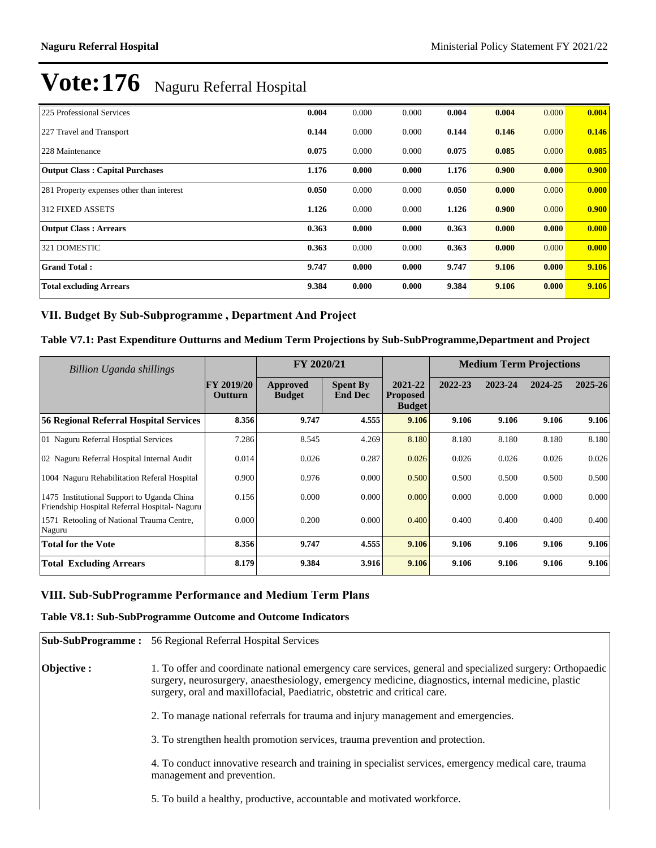| 225 Professional Services                 | 0.004 | 0.000 | 0.000 | 0.004 | 0.004 | 0.000 | 0.004 |
|-------------------------------------------|-------|-------|-------|-------|-------|-------|-------|
| 227 Travel and Transport                  | 0.144 | 0.000 | 0.000 | 0.144 | 0.146 | 0.000 | 0.146 |
| 228 Maintenance                           | 0.075 | 0.000 | 0.000 | 0.075 | 0.085 | 0.000 | 0.085 |
| <b>Output Class: Capital Purchases</b>    | 1.176 | 0.000 | 0.000 | 1.176 | 0.900 | 0.000 | 0.900 |
| 281 Property expenses other than interest | 0.050 | 0.000 | 0.000 | 0.050 | 0.000 | 0.000 | 0.000 |
| <b>312 FIXED ASSETS</b>                   | 1.126 | 0.000 | 0.000 | 1.126 | 0.900 | 0.000 | 0.900 |
| <b>Output Class: Arrears</b>              | 0.363 | 0.000 | 0.000 | 0.363 | 0.000 | 0.000 | 0.000 |
| 321 DOMESTIC                              | 0.363 | 0.000 | 0.000 | 0.363 | 0.000 | 0.000 | 0.000 |
| <b>Grand Total:</b>                       | 9.747 | 0.000 | 0.000 | 9.747 | 9.106 | 0.000 | 9.106 |
| <b>Total excluding Arrears</b>            | 9.384 | 0.000 | 0.000 | 9.384 | 9.106 | 0.000 | 9.106 |

### VII. Budget By Sub-Subprogramme, Department And Project

#### **Table V7.1: Past Expenditure Outturns and Medium Term Projections by Sub-SubProgramme,Department and Project**

| <b>Billion Uganda shillings</b>                                                            |                              | FY 2020/21                |                                   |                                             |         | <b>Medium Term Projections</b> |         |         |
|--------------------------------------------------------------------------------------------|------------------------------|---------------------------|-----------------------------------|---------------------------------------------|---------|--------------------------------|---------|---------|
|                                                                                            | <b>FY 2019/20</b><br>Outturn | Approved<br><b>Budget</b> | <b>Spent By</b><br><b>End Dec</b> | 2021-22<br><b>Proposed</b><br><b>Budget</b> | 2022-23 | 2023-24                        | 2024-25 | 2025-26 |
| <b>56 Regional Referral Hospital Services</b>                                              | 8.356                        | 9.747                     | 4.555                             | 9.106                                       | 9.106   | 9.106                          | 9.106   | 9.106   |
| 01 Naguru Referral Hosptial Services                                                       | 7.286                        | 8.545                     | 4.269                             | 8.180                                       | 8.180   | 8.180                          | 8.180   | 8.180   |
| 02 Naguru Referral Hospital Internal Audit                                                 | 0.014                        | 0.026                     | 0.287                             | 0.026                                       | 0.026   | 0.026                          | 0.026   | 0.026   |
| 1004 Naguru Rehabilitation Referal Hospital                                                | 0.900                        | 0.976                     | 0.000                             | 0.500                                       | 0.500   | 0.500                          | 0.500   | 0.500   |
| 1475 Institutional Support to Uganda China<br>Friendship Hospital Referral Hospital-Naguru | 0.156                        | 0.000                     | 0.000                             | 0.000                                       | 0.000   | 0.000                          | 0.000   | 0.000   |
| 1571 Retooling of National Trauma Centre,<br>Naguru                                        | 0.000                        | 0.200                     | 0.000                             | 0.400                                       | 0.400   | 0.400                          | 0.400   | 0.400   |
| Total for the Vote                                                                         | 8.356                        | 9.747                     | 4.555                             | 9.106                                       | 9.106   | 9.106                          | 9.106   | 9.106   |
| <b>Total Excluding Arrears</b>                                                             | 8.179                        | 9.384                     | 3.916                             | 9.106                                       | 9.106   | 9.106                          | 9.106   | 9.106   |

#### **VIII. Sub-SubProgramme Performance and Medium Term Plans**

#### **Table V8.1: Sub-SubProgramme Outcome and Outcome Indicators**

|                   | <b>Sub-SubProgramme:</b> 56 Regional Referral Hospital Services                                                                                                                                                                                                                               |
|-------------------|-----------------------------------------------------------------------------------------------------------------------------------------------------------------------------------------------------------------------------------------------------------------------------------------------|
| <b>Objective:</b> | 1. To offer and coordinate national emergency care services, general and specialized surgery: Orthopaedic<br>surgery, neurosurgery, anaesthesiology, emergency medicine, diagnostics, internal medicine, plastic<br>surgery, oral and maxillofacial, Paediatric, obstetric and critical care. |
|                   | 2. To manage national referrals for trauma and injury management and emergencies.                                                                                                                                                                                                             |
|                   | 3. To strengthen health promotion services, trauma prevention and protection.                                                                                                                                                                                                                 |
|                   | 4. To conduct innovative research and training in specialist services, emergency medical care, trauma<br>management and prevention.                                                                                                                                                           |
|                   | 5. To build a healthy, productive, accountable and motivated workforce.                                                                                                                                                                                                                       |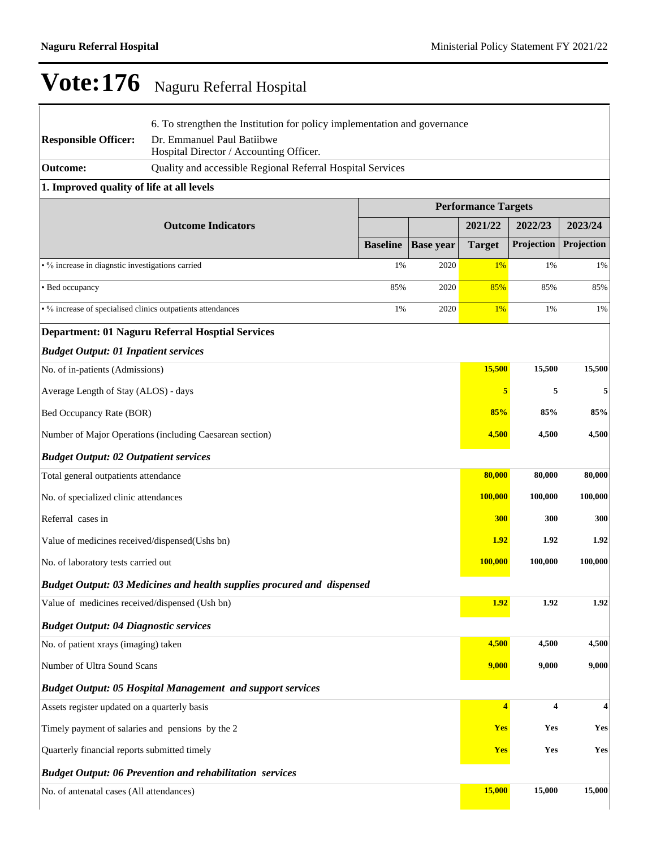| <b>Responsible Officer:</b>                                 | 6. To strengthen the Institution for policy implementation and governance<br>Dr. Emmanuel Paul Batiibwe |                 |                  |                            |            |            |
|-------------------------------------------------------------|---------------------------------------------------------------------------------------------------------|-----------------|------------------|----------------------------|------------|------------|
| <b>Outcome:</b>                                             | Hospital Director / Accounting Officer.<br>Quality and accessible Regional Referral Hospital Services   |                 |                  |                            |            |            |
| 1. Improved quality of life at all levels                   |                                                                                                         |                 |                  |                            |            |            |
|                                                             |                                                                                                         |                 |                  | <b>Performance Targets</b> |            |            |
|                                                             | <b>Outcome Indicators</b>                                                                               |                 |                  | 2021/22                    | 2022/23    | 2023/24    |
|                                                             |                                                                                                         | <b>Baseline</b> | <b>Base year</b> | <b>Target</b>              | Projection | Projection |
| • % increase in diagnstic investigations carried            |                                                                                                         | 1%              | 2020             | 1%                         | 1%         | 1%         |
| • Bed occupancy                                             |                                                                                                         | 85%             | 2020             | 85%                        | 85%        | 85%        |
| • % increase of specialised clinics outpatients attendances |                                                                                                         | 1%              | 2020             | 1%                         | 1%         | 1%         |
|                                                             | <b>Department: 01 Naguru Referral Hosptial Services</b>                                                 |                 |                  |                            |            |            |
| <b>Budget Output: 01 Inpatient services</b>                 |                                                                                                         |                 |                  |                            |            |            |
| No. of in-patients (Admissions)                             |                                                                                                         |                 |                  | 15,500                     | 15,500     | 15,500     |
| Average Length of Stay (ALOS) - days                        |                                                                                                         |                 |                  | 5                          | 5          | 5          |
| Bed Occupancy Rate (BOR)                                    |                                                                                                         |                 |                  | 85%                        | 85%        | 85%        |
|                                                             | Number of Major Operations (including Caesarean section)                                                |                 |                  | 4,500                      | 4,500      | 4,500      |
| <b>Budget Output: 02 Outpatient services</b>                |                                                                                                         |                 |                  |                            |            |            |
| Total general outpatients attendance                        |                                                                                                         |                 |                  | 80,000                     | 80,000     | 80,000     |
| No. of specialized clinic attendances                       |                                                                                                         |                 |                  | 100,000                    | 100,000    | 100,000    |
| Referral cases in                                           |                                                                                                         |                 |                  | <b>300</b>                 | 300        | 300        |
| Value of medicines received/dispensed(Ushs bn)              |                                                                                                         |                 |                  | <b>1.92</b>                | 1.92       | 1.92       |
| No. of laboratory tests carried out                         |                                                                                                         |                 |                  | <b>100,000</b>             | 100,000    | 100,000    |
|                                                             | Budget Output: 03 Medicines and health supplies procured and dispensed                                  |                 |                  |                            |            |            |
| Value of medicines received/dispensed (Ush bn)              |                                                                                                         |                 |                  | 1.92                       | 1.92       | 1.92       |
| <b>Budget Output: 04 Diagnostic services</b>                |                                                                                                         |                 |                  |                            |            |            |
| No. of patient xrays (imaging) taken                        |                                                                                                         |                 |                  | 4,500                      | 4,500      | 4,500      |
| Number of Ultra Sound Scans                                 |                                                                                                         |                 |                  | 9,000                      | 9,000      | 9,000      |
|                                                             | <b>Budget Output: 05 Hospital Management and support services</b>                                       |                 |                  |                            |            |            |
| Assets register updated on a quarterly basis                |                                                                                                         |                 |                  | 4                          | 4          | 4          |
| Timely payment of salaries and pensions by the 2            |                                                                                                         |                 |                  | Yes                        | Yes        | Yes        |
| Quarterly financial reports submitted timely                |                                                                                                         |                 |                  | <b>Yes</b>                 | Yes        | Yes        |
|                                                             | <b>Budget Output: 06 Prevention and rehabilitation services</b>                                         |                 |                  |                            |            |            |
| No. of antenatal cases (All attendances)                    |                                                                                                         |                 |                  | 15,000                     | 15,000     | 15,000     |
|                                                             |                                                                                                         |                 |                  |                            |            |            |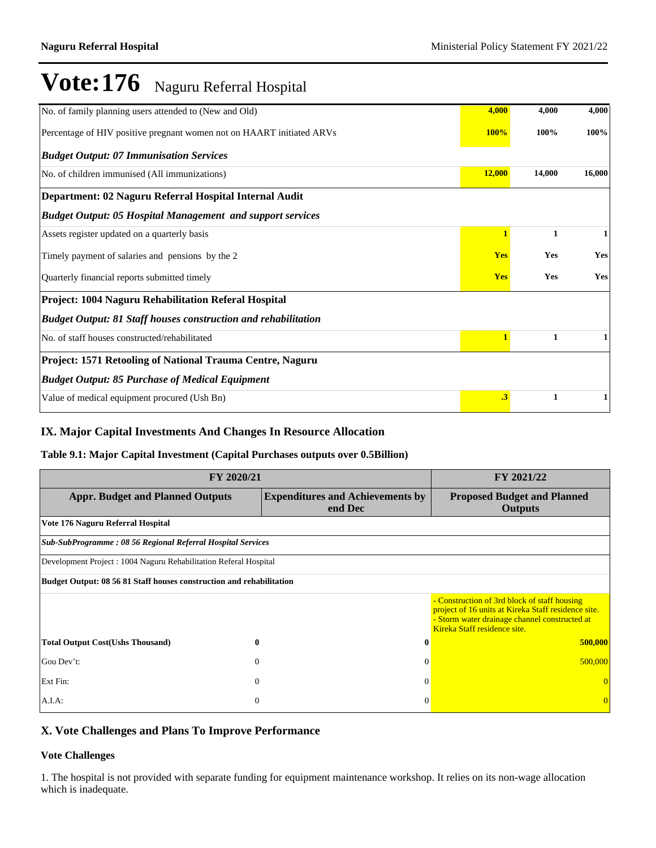| No. of family planning users attended to (New and Old)                | 4,000                | 4,000        | 4,000        |
|-----------------------------------------------------------------------|----------------------|--------------|--------------|
| Percentage of HIV positive pregnant women not on HAART initiated ARVs |                      | 100%         | 100%         |
| <b>Budget Output: 07 Immunisation Services</b>                        |                      |              |              |
| No. of children immunised (All immunizations)                         | 12,000               | 14,000       | 16,000       |
| Department: 02 Naguru Referral Hospital Internal Audit                |                      |              |              |
| <b>Budget Output: 05 Hospital Management and support services</b>     |                      |              |              |
| Assets register updated on a quarterly basis                          | 1                    | 1            | $\mathbf{1}$ |
| Timely payment of salaries and pensions by the 2                      | <b>Yes</b>           | Yes          | Yes          |
| Quarterly financial reports submitted timely                          |                      | Yes          | Yes          |
| Project: 1004 Naguru Rehabilitation Referal Hospital                  |                      |              |              |
| <b>Budget Output: 81 Staff houses construction and rehabilitation</b> |                      |              |              |
| No. of staff houses constructed/rehabilitated                         | $\mathbf{1}$         | $\mathbf{1}$ | 1            |
| Project: 1571 Retooling of National Trauma Centre, Naguru             |                      |              |              |
| <b>Budget Output: 85 Purchase of Medical Equipment</b>                |                      |              |              |
| Value of medical equipment procured (Ush Bn)                          | $\cdot$ <sup>3</sup> | 1            | 1            |

### **IX. Major Capital Investments And Changes In Resource Allocation**

#### **Table 9.1: Major Capital Investment (Capital Purchases outputs over 0.5Billion)**

| FY 2020/21                                                           | FY 2021/22                                         |                                                                                                                                                                                      |
|----------------------------------------------------------------------|----------------------------------------------------|--------------------------------------------------------------------------------------------------------------------------------------------------------------------------------------|
| <b>Appr. Budget and Planned Outputs</b>                              | <b>Expenditures and Achievements by</b><br>end Dec | <b>Proposed Budget and Planned</b><br><b>Outputs</b>                                                                                                                                 |
| Vote 176 Naguru Referral Hospital                                    |                                                    |                                                                                                                                                                                      |
| Sub-SubProgramme: 08 56 Regional Referral Hospital Services          |                                                    |                                                                                                                                                                                      |
| Development Project : 1004 Naguru Rehabilitation Referal Hospital    |                                                    |                                                                                                                                                                                      |
| Budget Output: 08 56 81 Staff houses construction and rehabilitation |                                                    |                                                                                                                                                                                      |
|                                                                      |                                                    | - Construction of 3rd block of staff housing<br>project of 16 units at Kireka Staff residence site.<br>- Storm water drainage channel constructed at<br>Kireka Staff residence site. |
| <b>Total Output Cost(Ushs Thousand)</b><br>$\bf{0}$                  | $\mathbf 0$                                        | 500,000                                                                                                                                                                              |
| Gou Dev't:<br>$\mathbf{0}$                                           | $\Omega$                                           | 500,000                                                                                                                                                                              |
| Ext Fin:<br>$\mathbf{0}$                                             | $\Omega$                                           |                                                                                                                                                                                      |
| $A.I.A$ :<br>0                                                       | $\Omega$                                           |                                                                                                                                                                                      |

### **X. Vote Challenges and Plans To Improve Performance**

#### **Vote Challenges**

1. The hospital is not provided with separate funding for equipment maintenance workshop. It relies on its non-wage allocation which is inadequate.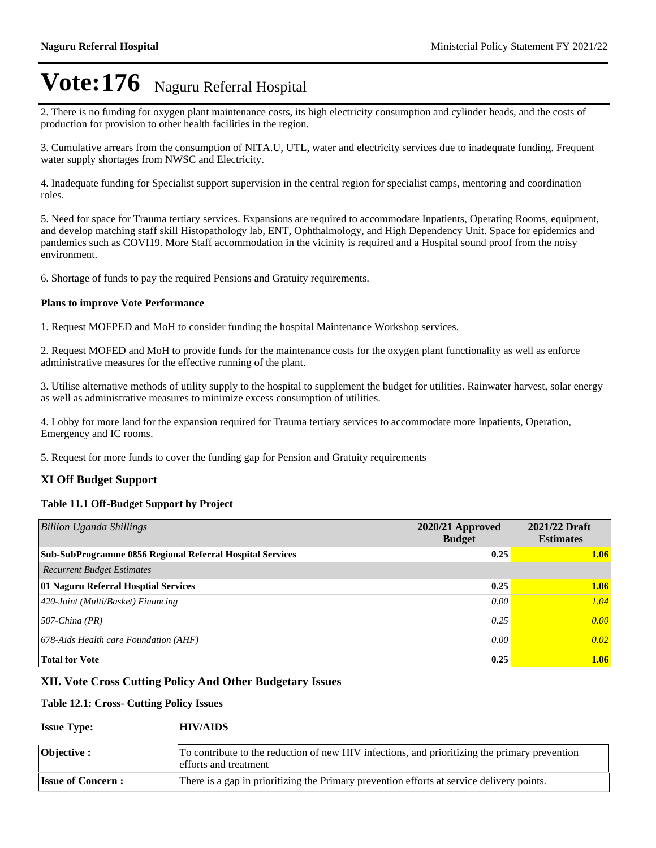2. There is no funding for oxygen plant maintenance costs, its high electricity consumption and cylinder heads, and the costs of production for provision to other health facilities in the region.

3. Cumulative arrears from the consumption of NITA.U, UTL, water and electricity services due to inadequate funding. Frequent water supply shortages from NWSC and Electricity.

4. Inadequate funding for Specialist support supervision in the central region for specialist camps, mentoring and coordination roles.

5. Need for space for Trauma tertiary services. Expansions are required to accommodate Inpatients, Operating Rooms, equipment, and develop matching staff skill Histopathology lab, ENT, Ophthalmology, and High Dependency Unit. Space for epidemics and pandemics such as COVI19. More Staff accommodation in the vicinity is required and a Hospital sound proof from the noisy environment.

6. Shortage of funds to pay the required Pensions and Gratuity requirements.

#### **Plans to improve Vote Performance**

1. Request MOFPED and MoH to consider funding the hospital Maintenance Workshop services.

2. Request MOFED and MoH to provide funds for the maintenance costs for the oxygen plant functionality as well as enforce administrative measures for the effective running of the plant.

3. Utilise alternative methods of utility supply to the hospital to supplement the budget for utilities. Rainwater harvest, solar energy as well as administrative measures to minimize excess consumption of utilities.

4. Lobby for more land for the expansion required for Trauma tertiary services to accommodate more Inpatients, Operation, Emergency and IC rooms.

5. Request for more funds to cover the funding gap for Pension and Gratuity requirements

#### **XI Off Budget Support**

#### **Table 11.1 Off-Budget Support by Project**

| <b>Billion Uganda Shillings</b>                           | $2020/21$ Approved<br><b>Budget</b> | 2021/22 Draft<br><b>Estimates</b> |
|-----------------------------------------------------------|-------------------------------------|-----------------------------------|
| Sub-SubProgramme 0856 Regional Referral Hospital Services | 0.25                                | 1.06                              |
| <b>Recurrent Budget Estimates</b>                         |                                     |                                   |
| 01 Naguru Referral Hosptial Services                      | 0.25                                | 1.06                              |
| $ 420\text{-}Joint (Multi/Basket) Financial$              | 0.00                                | 1.04                              |
| $ 507\text{-}China (PR)$                                  | 0.25                                | 0.00                              |
| $ 678 \text{-} Aids$ Health care Foundation (AHF)         | 0.00                                | 0.02                              |
| <b>Total for Vote</b>                                     | 0.25                                | 1.06                              |

#### **XII. Vote Cross Cutting Policy And Other Budgetary Issues**

#### **Table 12.1: Cross- Cutting Policy Issues**

#### **Issue Type: HIV/AIDS**

| <b>Objective :</b>       | To contribute to the reduction of new HIV infections, and prioritizing the primary prevention<br>efforts and treatment |
|--------------------------|------------------------------------------------------------------------------------------------------------------------|
| <b>Issue of Concern:</b> | There is a gap in prioritizing the Primary prevention efforts at service delivery points.                              |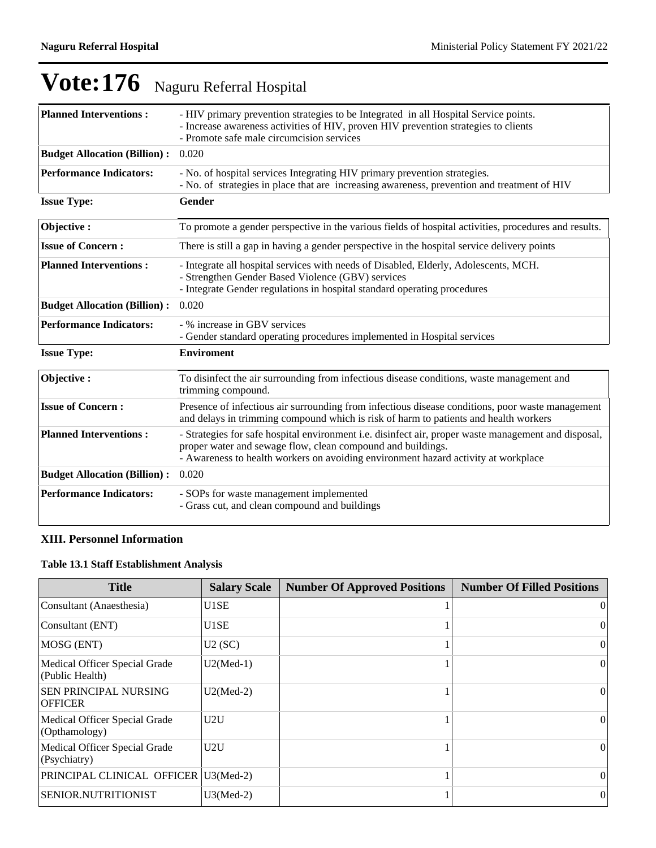| <b>Planned Interventions:</b>       | - HIV primary prevention strategies to be Integrated in all Hospital Service points.<br>- Increase awareness activities of HIV, proven HIV prevention strategies to clients<br>- Promote safe male circumcision services                                  |
|-------------------------------------|-----------------------------------------------------------------------------------------------------------------------------------------------------------------------------------------------------------------------------------------------------------|
| <b>Budget Allocation (Billion):</b> | 0.020                                                                                                                                                                                                                                                     |
| <b>Performance Indicators:</b>      | - No. of hospital services Integrating HIV primary prevention strategies.<br>- No. of strategies in place that are increasing awareness, prevention and treatment of HIV                                                                                  |
| <b>Issue Type:</b>                  | Gender                                                                                                                                                                                                                                                    |
| Objective:                          | To promote a gender perspective in the various fields of hospital activities, procedures and results.                                                                                                                                                     |
| <b>Issue of Concern:</b>            | There is still a gap in having a gender perspective in the hospital service delivery points                                                                                                                                                               |
| <b>Planned Interventions:</b>       | - Integrate all hospital services with needs of Disabled, Elderly, Adolescents, MCH.<br>- Strengthen Gender Based Violence (GBV) services<br>- Integrate Gender regulations in hospital standard operating procedures                                     |
| <b>Budget Allocation (Billion):</b> | 0.020                                                                                                                                                                                                                                                     |
| <b>Performance Indicators:</b>      | - % increase in GBV services<br>- Gender standard operating procedures implemented in Hospital services                                                                                                                                                   |
| <b>Issue Type:</b>                  | <b>Enviroment</b>                                                                                                                                                                                                                                         |
| Objective:                          | To disinfect the air surrounding from infectious disease conditions, waste management and<br>trimming compound.                                                                                                                                           |
| <b>Issue of Concern:</b>            | Presence of infectious air surrounding from infectious disease conditions, poor waste management<br>and delays in trimming compound which is risk of harm to patients and health workers                                                                  |
| <b>Planned Interventions:</b>       | - Strategies for safe hospital environment i.e. disinfect air, proper waste management and disposal,<br>proper water and sewage flow, clean compound and buildings.<br>- Awareness to health workers on avoiding environment hazard activity at workplace |
| <b>Budget Allocation (Billion):</b> | 0.020                                                                                                                                                                                                                                                     |
| <b>Performance Indicators:</b>      | - SOPs for waste management implemented<br>- Grass cut, and clean compound and buildings                                                                                                                                                                  |

## **XIII. Personnel Information**

## **Table 13.1 Staff Establishment Analysis**

| <b>Title</b>                                     | <b>Salary Scale</b> | <b>Number Of Approved Positions</b> | <b>Number Of Filled Positions</b> |
|--------------------------------------------------|---------------------|-------------------------------------|-----------------------------------|
| Consultant (Anaesthesia)                         | U1SE                |                                     | $\vert$ 0                         |
| Consultant (ENT)                                 | U1SE                |                                     | 0                                 |
| MOSG (ENT)                                       | U2(SC)              |                                     | $\left($                          |
| Medical Officer Special Grade<br>(Public Health) | $U2(Med-1)$         |                                     | $\vert$ 0                         |
| <b>SEN PRINCIPAL NURSING</b><br><b>OFFICER</b>   | $U2(Med-2)$         |                                     | $\vert$ 0                         |
| Medical Officer Special Grade<br>(Opthamology)   | U2U                 |                                     | $\vert$ 0                         |
| Medical Officer Special Grade<br>(Psychiatry)    | U2U                 |                                     | 0                                 |
| PRINCIPAL CLINICAL OFFICER U3(Med-2)             |                     |                                     | $\theta$                          |
| <b>SENIOR.NUTRITIONIST</b>                       | $U3(Med-2)$         |                                     | $\theta$                          |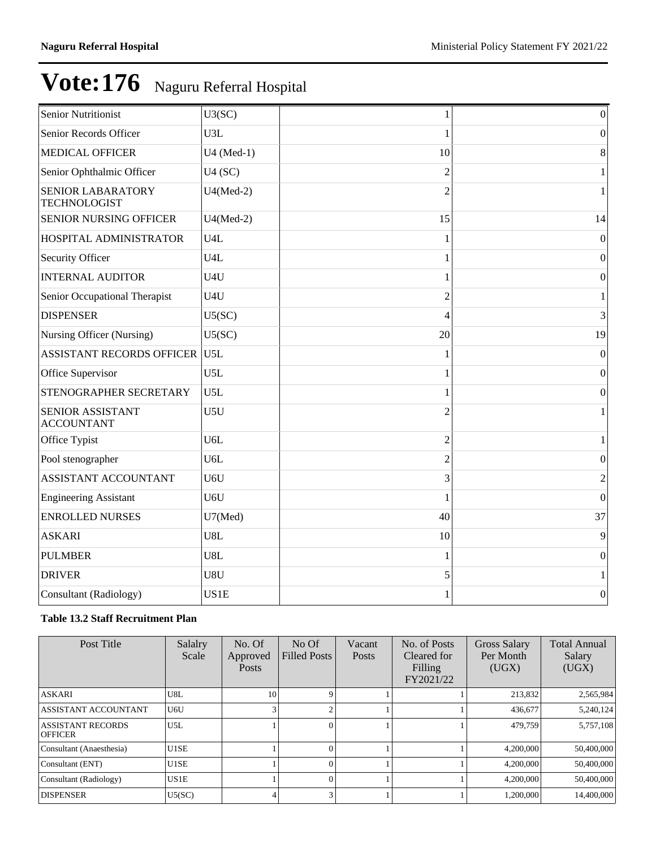| <b>Senior Nutritionist</b>                      | U3(SC)           |                | $\boldsymbol{0}$ |
|-------------------------------------------------|------------------|----------------|------------------|
| Senior Records Officer                          | U3L              |                | $\overline{0}$   |
| <b>MEDICAL OFFICER</b>                          | U4 (Med-1)       | 10             | 8                |
| Senior Ophthalmic Officer                       | U4(SC)           | $\overline{2}$ | $\mathbf{1}$     |
| <b>SENIOR LABARATORY</b><br><b>TECHNOLOGIST</b> | $U4(Med-2)$      | $\overline{2}$ | $\mathbf{1}$     |
| <b>SENIOR NURSING OFFICER</b>                   | $U4(Med-2)$      | 15             | 14               |
| HOSPITAL ADMINISTRATOR                          | U4L              |                | $\boldsymbol{0}$ |
| Security Officer                                | U4L              |                | $\boldsymbol{0}$ |
| <b>INTERNAL AUDITOR</b>                         | U4U              |                | $\boldsymbol{0}$ |
| Senior Occupational Therapist                   | U4U              | $\overline{c}$ | 1                |
| <b>DISPENSER</b>                                | U5(SC)           | Δ              | 3                |
| Nursing Officer (Nursing)                       | U5(SC)           | 20             | 19               |
| <b>ASSISTANT RECORDS OFFICER</b>                | U5L              |                | $\Omega$         |
| Office Supervisor                               | U <sub>5</sub> L | 1              | $\boldsymbol{0}$ |
| STENOGRAPHER SECRETARY                          | U5L              |                | $\mathbf{0}$     |
| <b>SENIOR ASSISTANT</b><br><b>ACCOUNTANT</b>    | U5U              | $\overline{2}$ | $\mathbf{1}$     |
| Office Typist                                   | U <sub>6</sub> L | $\overline{2}$ | $\mathbf{1}$     |
| Pool stenographer                               | U <sub>6</sub> L | $\overline{2}$ | $\mathbf{0}$     |
| ASSISTANT ACCOUNTANT                            | U6U              | 3              | $\overline{2}$   |
| Engineering Assistant                           | U6U              |                | $\boldsymbol{0}$ |
| <b>ENROLLED NURSES</b>                          | U7(Med)          | 40             | 37               |
| <b>ASKARI</b>                                   | U8L              | 10             | 9                |
| <b>PULMBER</b>                                  | U8L              |                | $\boldsymbol{0}$ |
| <b>DRIVER</b>                                   | U8U              | 5              | 1                |
| Consultant (Radiology)                          | US1E             |                | $\boldsymbol{0}$ |

### **Table 13.2 Staff Recruitment Plan**

| Post Title                                 | Salalry<br>Scale | No. Of<br>Approved<br>Posts | No Of<br><b>Filled Posts</b> | Vacant<br>Posts | No. of Posts<br>Cleared for<br>Filling<br>FY2021/22 | Gross Salary<br>Per Month<br>(UGX) | <b>Total Annual</b><br>Salary<br>(UGX) |
|--------------------------------------------|------------------|-----------------------------|------------------------------|-----------------|-----------------------------------------------------|------------------------------------|----------------------------------------|
| <b>ASKARI</b>                              | U8L              | 10                          |                              |                 |                                                     | 213,832                            | 2,565,984                              |
| ASSISTANT ACCOUNTANT                       | U6U              | 3                           |                              |                 |                                                     | 436,677                            | 5,240,124                              |
| <b>ASSISTANT RECORDS</b><br><b>OFFICER</b> | U5L              |                             |                              |                 |                                                     | 479,759                            | 5,757,108                              |
| Consultant (Anaesthesia)                   | U1SE             |                             |                              |                 |                                                     | 4,200,000                          | 50,400,000                             |
| Consultant (ENT)                           | U1SE             |                             |                              |                 |                                                     | 4.200,000                          | 50,400,000                             |
| Consultant (Radiology)                     | US1E             |                             | $\Omega$                     |                 |                                                     | 4,200,000                          | 50,400,000                             |
| <b>DISPENSER</b>                           | U5(SC)           | 4                           |                              |                 |                                                     | 1,200,000                          | 14,400,000                             |